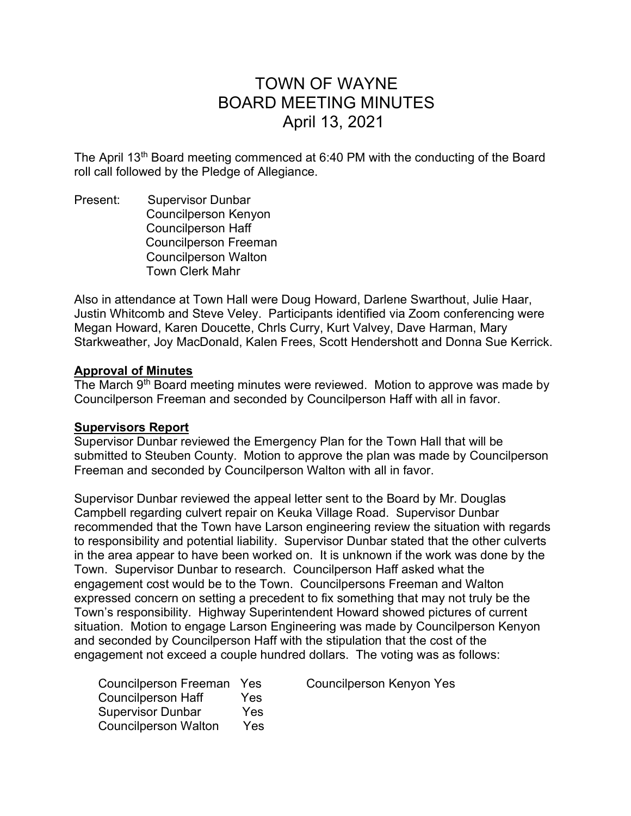# TOWN OF WAYNE BOARD MEETING MINUTES April 13, 2021

The April 13<sup>th</sup> Board meeting commenced at 6:40 PM with the conducting of the Board roll call followed by the Pledge of Allegiance.

Present: Supervisor Dunbar Councilperson Kenyon Councilperson Haff Councilperson Freeman Councilperson Walton Town Clerk Mahr

Also in attendance at Town Hall were Doug Howard, Darlene Swarthout, Julie Haar, Justin Whitcomb and Steve Veley. Participants identified via Zoom conferencing were Megan Howard, Karen Doucette, Chrls Curry, Kurt Valvey, Dave Harman, Mary Starkweather, Joy MacDonald, Kalen Frees, Scott Hendershott and Donna Sue Kerrick.

#### Approval of Minutes

The March  $9<sup>th</sup>$  Board meeting minutes were reviewed. Motion to approve was made by Councilperson Freeman and seconded by Councilperson Haff with all in favor.

## Supervisors Report

Supervisor Dunbar reviewed the Emergency Plan for the Town Hall that will be submitted to Steuben County. Motion to approve the plan was made by Councilperson Freeman and seconded by Councilperson Walton with all in favor.

Supervisor Dunbar reviewed the appeal letter sent to the Board by Mr. Douglas Campbell regarding culvert repair on Keuka Village Road. Supervisor Dunbar recommended that the Town have Larson engineering review the situation with regards to responsibility and potential liability. Supervisor Dunbar stated that the other culverts in the area appear to have been worked on. It is unknown if the work was done by the Town. Supervisor Dunbar to research. Councilperson Haff asked what the engagement cost would be to the Town. Councilpersons Freeman and Walton expressed concern on setting a precedent to fix something that may not truly be the Town's responsibility. Highway Superintendent Howard showed pictures of current situation. Motion to engage Larson Engineering was made by Councilperson Kenyon and seconded by Councilperson Haff with the stipulation that the cost of the engagement not exceed a couple hundred dollars. The voting was as follows:

| Councilperson Freeman Yes   |     |
|-----------------------------|-----|
| <b>Councilperson Haff</b>   | Yes |
| <b>Supervisor Dunbar</b>    | Yes |
| <b>Councilperson Walton</b> | Yes |

Councilperson Kenyon Yes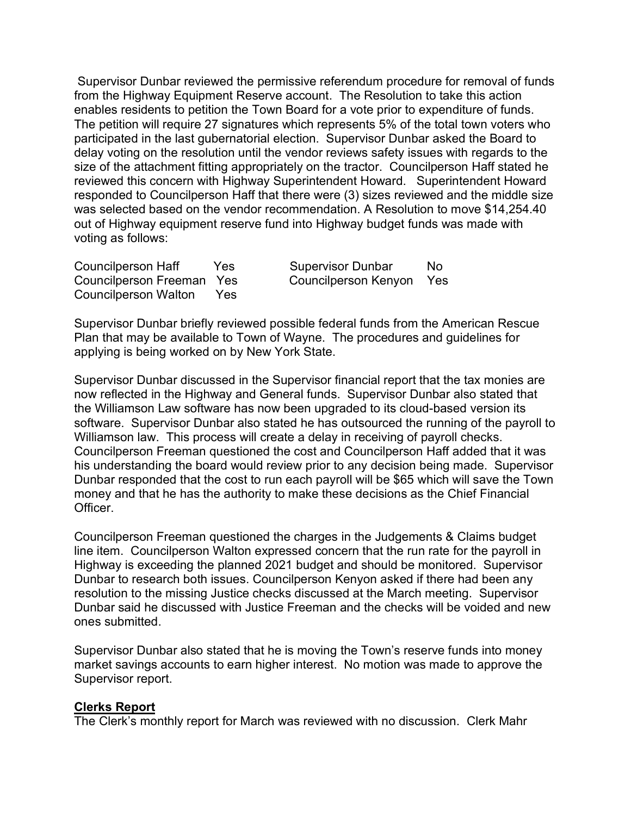Supervisor Dunbar reviewed the permissive referendum procedure for removal of funds from the Highway Equipment Reserve account. The Resolution to take this action enables residents to petition the Town Board for a vote prior to expenditure of funds. The petition will require 27 signatures which represents 5% of the total town voters who participated in the last gubernatorial election. Supervisor Dunbar asked the Board to delay voting on the resolution until the vendor reviews safety issues with regards to the size of the attachment fitting appropriately on the tractor. Councilperson Haff stated he reviewed this concern with Highway Superintendent Howard. Superintendent Howard responded to Councilperson Haff that there were (3) sizes reviewed and the middle size was selected based on the vendor recommendation. A Resolution to move \$14,254.40 out of Highway equipment reserve fund into Highway budget funds was made with voting as follows:

Councilperson Haff Yes Supervisor Dunbar No Councilperson Walton Yes

Councilperson Freeman Yes Councilperson Kenyon Yes

Supervisor Dunbar briefly reviewed possible federal funds from the American Rescue Plan that may be available to Town of Wayne. The procedures and guidelines for applying is being worked on by New York State.

Supervisor Dunbar discussed in the Supervisor financial report that the tax monies are now reflected in the Highway and General funds. Supervisor Dunbar also stated that the Williamson Law software has now been upgraded to its cloud-based version its software. Supervisor Dunbar also stated he has outsourced the running of the payroll to Williamson law. This process will create a delay in receiving of payroll checks. Councilperson Freeman questioned the cost and Councilperson Haff added that it was his understanding the board would review prior to any decision being made. Supervisor Dunbar responded that the cost to run each payroll will be \$65 which will save the Town money and that he has the authority to make these decisions as the Chief Financial Officer.

Councilperson Freeman questioned the charges in the Judgements & Claims budget line item. Councilperson Walton expressed concern that the run rate for the payroll in Highway is exceeding the planned 2021 budget and should be monitored. Supervisor Dunbar to research both issues. Councilperson Kenyon asked if there had been any resolution to the missing Justice checks discussed at the March meeting. Supervisor Dunbar said he discussed with Justice Freeman and the checks will be voided and new ones submitted.

Supervisor Dunbar also stated that he is moving the Town's reserve funds into money market savings accounts to earn higher interest. No motion was made to approve the Supervisor report.

#### Clerks Report

The Clerk's monthly report for March was reviewed with no discussion. Clerk Mahr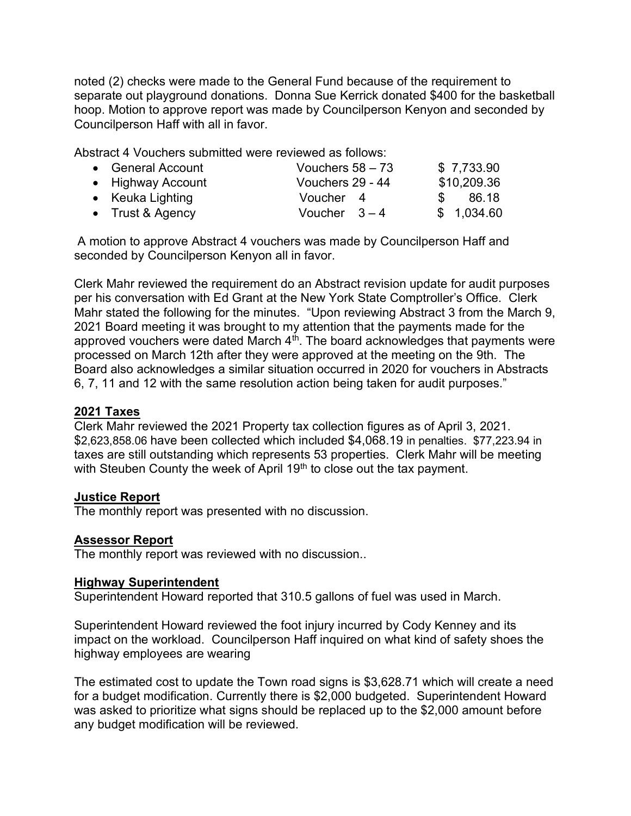noted (2) checks were made to the General Fund because of the requirement to separate out playground donations. Donna Sue Kerrick donated \$400 for the basketball hoop. Motion to approve report was made by Councilperson Kenyon and seconded by Councilperson Haff with all in favor.

Abstract 4 Vouchers submitted were reviewed as follows:

| • General Account | Vouchers $58 - 73$ |               | \$7,733.90  |
|-------------------|--------------------|---------------|-------------|
| • Highway Account | Vouchers 29 - 44   |               | \$10,209.36 |
| • Keuka Lighting  | Voucher 4          | $\mathcal{S}$ | - 86.18     |
| • Trust & Agency  | Voucher $3-4$      |               | \$1,034.60  |

 A motion to approve Abstract 4 vouchers was made by Councilperson Haff and seconded by Councilperson Kenyon all in favor.

Clerk Mahr reviewed the requirement do an Abstract revision update for audit purposes per his conversation with Ed Grant at the New York State Comptroller's Office. Clerk Mahr stated the following for the minutes. "Upon reviewing Abstract 3 from the March 9, 2021 Board meeting it was brought to my attention that the payments made for the approved vouchers were dated March  $4<sup>th</sup>$ . The board acknowledges that payments were processed on March 12th after they were approved at the meeting on the 9th. The Board also acknowledges a similar situation occurred in 2020 for vouchers in Abstracts 6, 7, 11 and 12 with the same resolution action being taken for audit purposes."

## 2021 Taxes

Clerk Mahr reviewed the 2021 Property tax collection figures as of April 3, 2021. \$2,623,858.06 have been collected which included \$4,068.19 in penalties. \$77,223.94 in taxes are still outstanding which represents 53 properties. Clerk Mahr will be meeting with Steuben County the week of April 19<sup>th</sup> to close out the tax payment.

## Justice Report

The monthly report was presented with no discussion.

## Assessor Report

The monthly report was reviewed with no discussion..

## Highway Superintendent

Superintendent Howard reported that 310.5 gallons of fuel was used in March.

Superintendent Howard reviewed the foot injury incurred by Cody Kenney and its impact on the workload. Councilperson Haff inquired on what kind of safety shoes the highway employees are wearing

The estimated cost to update the Town road signs is \$3,628.71 which will create a need for a budget modification. Currently there is \$2,000 budgeted. Superintendent Howard was asked to prioritize what signs should be replaced up to the \$2,000 amount before any budget modification will be reviewed.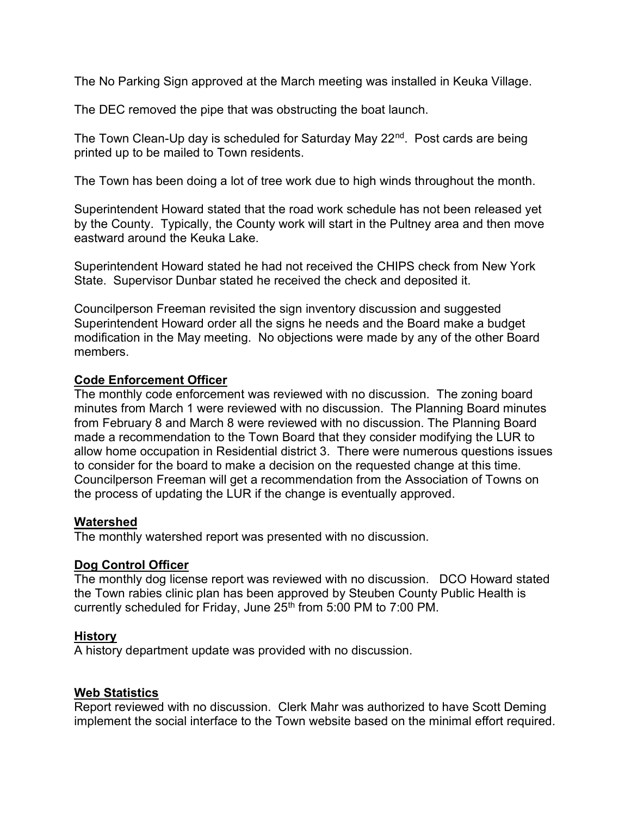The No Parking Sign approved at the March meeting was installed in Keuka Village.

The DEC removed the pipe that was obstructing the boat launch.

The Town Clean-Up day is scheduled for Saturday May 22<sup>nd</sup>. Post cards are being printed up to be mailed to Town residents.

The Town has been doing a lot of tree work due to high winds throughout the month.

Superintendent Howard stated that the road work schedule has not been released yet by the County. Typically, the County work will start in the Pultney area and then move eastward around the Keuka Lake.

Superintendent Howard stated he had not received the CHIPS check from New York State. Supervisor Dunbar stated he received the check and deposited it.

Councilperson Freeman revisited the sign inventory discussion and suggested Superintendent Howard order all the signs he needs and the Board make a budget modification in the May meeting. No objections were made by any of the other Board members.

# Code Enforcement Officer

The monthly code enforcement was reviewed with no discussion. The zoning board minutes from March 1 were reviewed with no discussion. The Planning Board minutes from February 8 and March 8 were reviewed with no discussion. The Planning Board made a recommendation to the Town Board that they consider modifying the LUR to allow home occupation in Residential district 3. There were numerous questions issues to consider for the board to make a decision on the requested change at this time. Councilperson Freeman will get a recommendation from the Association of Towns on the process of updating the LUR if the change is eventually approved.

## **Watershed**

The monthly watershed report was presented with no discussion.

# Dog Control Officer

The monthly dog license report was reviewed with no discussion. DCO Howard stated the Town rabies clinic plan has been approved by Steuben County Public Health is currently scheduled for Friday, June 25<sup>th</sup> from 5:00 PM to 7:00 PM.

## **History**

A history department update was provided with no discussion.

## Web Statistics

Report reviewed with no discussion. Clerk Mahr was authorized to have Scott Deming implement the social interface to the Town website based on the minimal effort required.